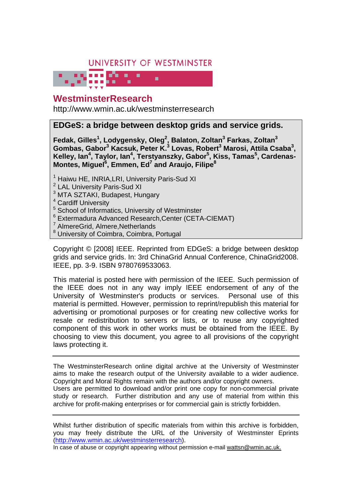# UNIVERSITY OF WESTMINSTER

# **WestminsterResearch**

http://www.wmin.ac.uk/westminsterresearch

**EDGeS: a bridge between desktop grids and service grids.** 

Fedak, Gilles<sup>1</sup>, Lodygensky, Oleg<sup>2</sup>, Balaton, Zoltan<sup>3</sup> Farkas, Zoltan<sup>3</sup> Gombas, Gabor<sup>3</sup> Kacsuk, Peter K.<sup>3</sup> Lovas, Robert<sup>3</sup> Marosi, Attila Csaba<sup>3</sup>, Kelley, Ian<sup>4</sup>, Taylor, Ian<sup>4</sup>, Terstyanszky, Gabor<sup>5</sup>, Kiss, Tamas<sup>5</sup>, Cardenas-Montes, Miguel<sup>6</sup>, Emmen, Ed<sup>7</sup> and Araujo, Filipe<sup>8</sup>

<sup>1</sup> Haiwu HE, INRIA, LRI, University Paris-Sud XI

- <sup>2</sup> LAL University Paris-Sud XI
- <sup>3</sup> MTA SZTAKI, Budapest, Hungary
- 4 Cardiff University
- <sup>5</sup> School of Informatics, University of Westminster
- 6 Extermadura Advanced Research,Center (CETA-CIEMAT)
- <sup>7</sup> AlmereGrid, Almere, Netherlands
- <sup>8</sup> University of Coimbra, Coimbra, Portugal

Copyright © [2008] IEEE. Reprinted from EDGeS: a bridge between desktop grids and service grids. In: 3rd ChinaGrid Annual Conference, ChinaGrid2008. IEEE, pp. 3-9. ISBN 9780769533063.

This material is posted here with permission of the IEEE. Such permission of the IEEE does not in any way imply IEEE endorsement of any of the University of Westminster's products or services. Personal use of this material is permitted. However, permission to reprint/republish this material for advertising or promotional purposes or for creating new collective works for resale or redistribution to servers or lists, or to reuse any copyrighted component of this work in other works must be obtained from the IEEE. By choosing to view this document, you agree to all provisions of the copyright laws protecting it.

The WestminsterResearch online digital archive at the University of Westminster aims to make the research output of the University available to a wider audience. Copyright and Moral Rights remain with the authors and/or copyright owners. Users are permitted to download and/or print one copy for non-commercial private study or research. Further distribution and any use of material from within this archive for profit-making enterprises or for commercial gain is strictly forbidden.

Whilst further distribution of specific materials from within this archive is forbidden, you may freely distribute the URL of the University of Westminster Eprints (http://www.wmin.ac.uk/westminsterresearch).

In case of abuse or copyright appearing without permission e-mail wattsn@wmin.ac.uk.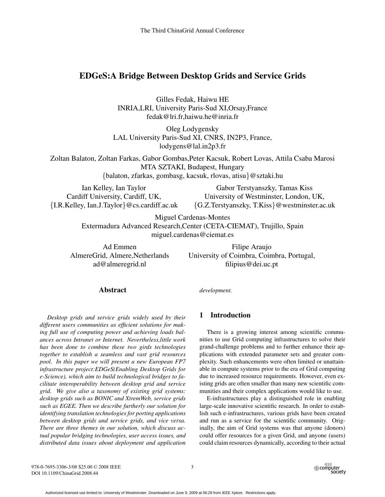# EDGeS:A Bridge Between Desktop Grids and Service Grids

Gilles Fedak, Haiwu HE INRIA,LRI, University Paris-Sud XI,Orsay,France fedak@lri.fr,haiwu.he@inria.fr

Oleg Lodygensky LAL University Paris-Sud XI, CNRS, IN2P3, France, lodygens@lal.in2p3.fr

Zoltan Balaton, Zoltan Farkas, Gabor Gombas,Peter Kacsuk, Robert Lovas, Attila Csaba Marosi MTA SZTAKI, Budapest, Hungary {balaton, zfarkas, gombasg, kacsuk, rlovas, atisu}@sztaki.hu

Ian Kelley, Ian Taylor

Cardiff University, Cardiff, UK, {I.R.Kelley, Ian.J.Taylor}@cs.cardiff.ac.uk

Gabor Terstyanszky, Tamas Kiss University of Westminster, London, UK, {G.Z.Terstyanszky, T.Kiss}@westminster.ac.uk

Miguel Cardenas-Montes

Extermadura Advanced Research,Center (CETA-CIEMAT), Trujillo, Spain miguel.cardenas@ciemat.es

Ad Emmen AlmereGrid, Almere,Netherlands ad@almeregrid.nl

Filipe Araujo University of Coimbra, Coimbra, Portugal, filipius@dei.uc.pt

## Abstract

*Desktop grids and service grids widely used by their different users communities as efficient solutions for making full use of computing power and achieving loads balances across Intranet or Internet. Nevertheless,little work has been done to combine these two girds technologies together to establish a seamless and vast grid resources pool. In this paper we will present a new European FP7 infrastructure project:EDGeS(Enabling Desktop Grids for e-Science), which aim to build technological bridges to facilitate interoperability between desktop grid and service grid. We give also a taxonomy of existing grid systems: desktop grids such as BONIC and XtremWeb, service grids such as EGEE. Then we describe furtherly our solution for identifying translation technologies for porting applications between desktop grids and service grids, and vice versa. There are three themes in our solution, which discuss actual popular bridging technologies, user access issues, and distributed data issues about deployment and application*

*development.*

# 1 Introduction

There is a growing interest among scientific communities to use Grid computing infrastructures to solve their grand-challenge problems and to further enhance their applications with extended parameter sets and greater complexity. Such enhancements were often limited or unattainable in compute systems prior to the era of Grid computing due to increased resource requirements. However, even existing grids are often smaller than many new scientific communities and their complex applications would like to use.

E-infrastructures play a distinguished role in enabling large-scale innovative scientific research. In order to establish such e-infrastructures, various grids have been created and run as a service for the scientific community. Originally, the aim of Grid systems was that anyone (donors) could offer resources for a given Grid, and anyone (users) could claim resources dynamically, according to their actual

978-0-7695-3306-3/08 \$25.00 © 2008 IEEE DOI 10.1109/ChinaGrid.2008.44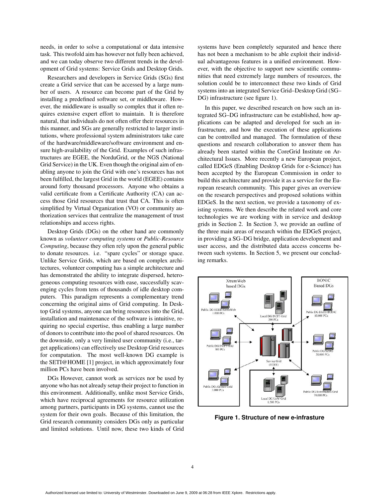needs, in order to solve a computational or data intensive task. This twofold aim has however not fully been achieved, and we can today observe two different trends in the development of Grid systems: Service Grids and Desktop Grids.

Researchers and developers in Service Grids (SGs) first create a Grid service that can be accessed by a large number of users. A resource can become part of the Grid by installing a predefined software set, or middleware. However, the middleware is usually so complex that it often requires extensive expert effort to maintain. It is therefore natural, that individuals do not often offer their resources in this manner, and SGs are generally restricted to larger institutions, where professional system administrators take care of the hardware/middleware/software environment and ensure high-availability of the Grid. Examples of such infrastructures are EGEE, the NorduGrid, or the NGS (National Grid Service) in the UK. Even though the original aim of enabling anyone to join the Grid with one's resources has not been fulfilled, the largest Grid in the world (EGEE) contains around forty thousand processors. Anyone who obtains a valid certificate from a Certificate Authority (CA) can access those Grid resources that trust that CA. This is often simplified by Virtual Organization (VO) or community authorization services that centralize the management of trust relationships and access rights.

Desktop Grids (DGs) on the other hand are commonly known as *volunteer computing systems* or *Public-Resource Computing*, because they often rely upon the general public to donate resources. i.e. "spare cycles" or storage space. Unlike Service Grids, which are based on complex architectures, volunteer computing has a simple architecture and has demonstrated the ability to integrate dispersed, heterogeneous computing resources with ease, successfully scavenging cycles from tens of thousands of idle desktop computers. This paradigm represents a complementary trend concerning the original aims of Grid computing. In Desktop Grid systems, anyone can bring resources into the Grid, installation and maintenance of the software is intuitive, requiring no special expertise, thus enabling a large number of donors to contribute into the pool of shared resources. On the downside, only a very limited user community (i.e., target applications) can effectively use Desktop Grid resources for computation. The most well-known DG example is the SETI@HOME [1] project, in which approximately four million PCs have been involved.

DGs However, cannot work as services nor be used by anyone who has not already setup their project to function in this environment. Additionally, unlike most Service Grids, which have reciprocal agreements for resource utilization among partners, participants in DG systems, cannot use the system for their own goals. Because of this limitation, the Grid research community considers DGs only as particular and limited solutions. Until now, these two kinds of Grid

systems have been completely separated and hence there has not been a mechanism to be able exploit their individual advantageous features in a unified environment. However, with the objective to support new scientific communities that need extremely large numbers of resources, the solution could be to interconnect these two kinds of Grid systems into an integrated Service Grid–Desktop Grid (SG– DG) infrastructure (see figure 1).

In this paper, we described research on how such an integrated SG–DG infrastructure can be established, how applications can be adapted and developed for such an infrastructure, and how the execution of these applications can be controlled and managed. The formulation of these questions and research collaboration to answer them has already been started within the CoreGrid Institute on Architectural Issues. More recently a new European project, called EDGeS (Enabling Desktop Grids for e-Science) has been accepted by the European Commission in order to build this architecture and provide it as a service for the European research community. This paper gives an overview on the research perspectives and proposed solutions within EDGeS. In the next section, we provide a taxonomy of existing systems. We then describe the related work and core technologies we are working with in service and desktop grids in Section 2. In Section 3, we provide an outline of the three main areas of research within the EDGeS project, in providing a SG–DG bridge, application development and user access, and the distributed data access concerns between such systems. In Section 5, we present our concluding remarks.



**Figure 1. Structure of new e-infrasture**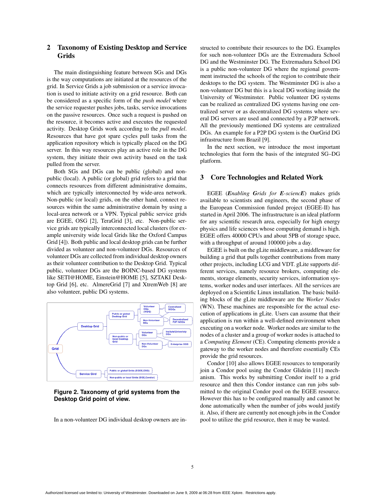### 2 Taxonomy of Existing Desktop and Service **Grids**

The main distinguishing feature between SGs and DGs is the way computations are initiated at the resources of the grid. In Service Grids a job submission or a service invocation is used to initiate activity on a grid resource. Both can be considered as a specific form of the *push model* where the service requester pushes jobs, tasks, service invocations on the passive resources. Once such a request is pushed on the resource, it becomes active and executes the requested activity. Desktop Grids work according to the *pull model*. Resources that have got spare cycles pull tasks from the application repository which is typically placed on the DG server. In this way resources play an active role in the DG system, they initiate their own activity based on the task pulled from the server.

Both SGs and DGs can be public (global) and nonpublic (local). A public (or global) grid refers to a grid that connects resources from different administrative domains, which are typically interconnected by wide-area network. Non-public (or local) grids, on the other hand, connect resources within the same administrative domain by using a local-area network or a VPN. Typical public service grids are EGEE, OSG [2], TeraGrid [3], etc. Non-public service grids are typically interconnected local clusters (for example university wide local Grids like the Oxford Campus Grid [4]). Both public and local desktop grids can be further divided as volunteer and non-volunteer DGs. Resources of volunteer DGs are collected from individual desktop owners as their volunteer contribution to the Desktop Grid. Typical public, volunteer DGs are the BOINC-based DG systems like SETI@HOME, Einstein@HOME [5], SZTAKI Desktop Grid [6], etc. AlmereGrid [7] and XtremWeb [8] are also volunteer, public DG systems.



#### **Figure 2. Taxonomy of grid systems from the Desktop Grid point of view.**

In a non-volunteer DG individual desktop owners are in-

structed to contribute their resources to the DG. Examples for such non-volunteer DGs are the Extremadura School DG and the Westminster DG. The Extremadura School DG is a public non-volunteer DG where the regional government instructed the schools of the region to contribute their desktops to the DG system. The Westminster DG is also a non-volunteer DG but this is a local DG working inside the University of Westminster. Public volunteer DG systems can be realized as centralized DG systems having one centralized server or as decentralized DG systems where several DG servers are used and connected by a P2P network. All the previously mentioned DG systems are centralized DGs. An example for a P2P DG system is the OurGrid DG infrastructure from Brazil [9].

In the next section, we introduce the most important technologies that form the basis of the integrated SG–DG platform.

#### 3 Core Technologies and Related Work

EGEE (*Enabling Grids for E-sciencE*) makes grids available to scientists and engineers, the second phase of the European Commission funded project (EGEE-II) has started in April 2006. The infrastructure is an ideal platform for any scientific research area, especially for high energy physics and life sciences whose computing demand is high. EGEE offers 40000 CPUs and about 5PB of storage space, with a throughput of around 100000 jobs a day.

EGEE is built on the gLite middleware, a middleware for building a grid that pulls together contributions from many other projects, including LCG and VDT. gLite supports different services, namely resource brokers, computing elements, storage elements, security services, information systems, worker nodes and user interfaces. All the services are deployed on a Scientific Linux installation. The basic building blocks of the gLite middleware are the *Worker Nodes* (WN). These machines are responsible for the actual execution of applications in gLite. Users can assume that their application is run within a well-defined environment when executing on a worker node. Worker nodes are similar to the nodes of a cluster and a group of worker nodes is attached to a *Computing Element* (CE). Computing elements provide a gateway to the worker nodes and therefore essentially CEs provide the grid resources.

Condor [10] also allows EGEE resources to temporarily join a Condor pool using the Condor Glidein [11] mechanism. This works by submitting Condor itself to a grid resource and then this Condor instance can run jobs submitted to the original Condor pool on the EGEE resource. However this has to be configured manually and cannot be done automatically when the number of jobs would justify it. Also, if there are currently not enough jobs in the Condor pool to utilize the grid resource, then it may be wasted.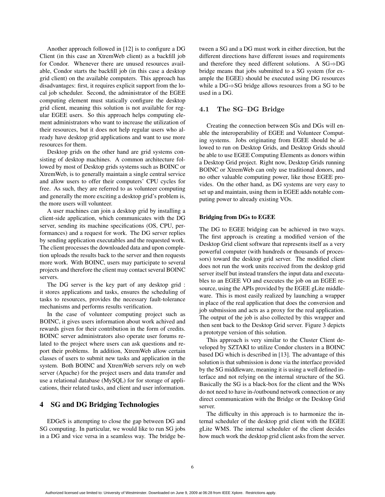Another approach followed in [12] is to configure a DG Client (in this case an XtremWeb client) as a backfill job for Condor. Whenever there are unused resources available, Condor starts the backfill job (in this case a desktop grid client) on the available computers. This approach has disadvantages: first, it requires explicit support from the local job scheduler. Second, the administrator of the EGEE computing element must statically configure the desktop grid client, meaning this solution is not available for regular EGEE users. So this approach helps computing element administrators who want to increase the utilization of their resources, but it does not help regular users who already have desktop grid applications and want to use more resources for them.

Desktop grids on the other hand are grid systems consisting of desktop machines. A common architecture followed by most of Desktop grids systems such as BOINC or XtremWeb, is to generally maintain a single central service and allow users to offer their computers' CPU cycles for free. As such, they are referred to as volunteer computing and generally the more exciting a desktop grid's problem is, the more users will volunteer.

A user machines can join a desktop grid by installing a client-side application, which communicates with the DG server, sending its machine specifications (OS, CPU, performances) and a request for work. The DG server replies by sending application executables and the requested work. The client processes the downloaded data and upon completion uploads the results back to the server and then requests more work. With BOINC, users may participate to several projects and therefore the client may contact several BOINC servers.

The DG server is the key part of any desktop grid : it stores applications and tasks, ensures the scheduling of tasks to resources, provides the necessary fault-tolerance mechanisms and performs results verification.

In the case of volunteer computing project such as BOINC, it gives users information about work achived and rewards given for their contribution in the form of credits. BOINC server administrators also operate user forums related to the project where users can ask questions and report their problems. In addition, XtremWeb allow certain classes of users to submit new tasks and application in the system. Both BOINC and XtremWeb servers rely on web server (Apache) for the project users and data transfer and use a relational database (MySQL) for for storage of applications, their related tasks, and client and user information.

#### 4 SG and DG Bridging Technologies

EDGeS is attempting to close the gap between DG and SG computing. In particular, we would like to run SG jobs in a DG and vice versa in a seamless way. The bridge between a SG and a DG must work in either direction, but the different directions have different issues and requirements and therefore they need different solutions. A SG⇒DG bridge means that jobs submitted to a SG system (for example the EGEE) should be executed using DG resources while a DG⇒SG bridge allows resources from a SG to be used in a DG.

#### 4.1 The SG–DG Bridge

Creating the connection between SGs and DGs will enable the interoperability of EGEE and Volunteer Computing systems. Jobs originating from EGEE should be allowed to run on Desktop Grids, and Desktop Grids should be able to use EGEE Computing Elements as donors within a Desktop Grid project. Right now, Desktop Grids running BOINC or XtremWeb can only use traditional donors, and no other valuable computing power, like those EGEE provides. On the other hand, as DG systems are very easy to set up and maintain, using them in EGEE adds notable computing power to already existing VOs.

#### Bridging from DGs to EGEE

The DG to EGEE bridging can be achieved in two ways. The first approach is creating a modified version of the Desktop Grid client software that represents itself as a very powerful computer (with hundreds or thousands of processors) toward the desktop grid server. The modified client does not run the work units received from the desktop grid server itself but instead transfers the input data and executables to an EGEE VO and executes the job on an EGEE resource, using the APIs provided by the EGEE gLite middleware. This is most easily realized by launching a wrapper in place of the real application that does the conversion and job submission and acts as a proxy for the real application. The output of the job is also collected by this wrapper and then sent back to the Desktop Grid server. Figure 3 depicts a prototype version of this solution.

This approach is very similar to the Cluster Client developed by SZTAKI to utilize Condor clusters in a BOINC based DG which is described in [13]. The advantage of this solution is that submission is done via the interface provided by the SG middleware, meaning it is using a well defined interface and not relying on the internal structure of the SG. Basically the SG is a black-box for the client and the WNs do not need to have in-/outbound network connection or any direct communication with the Bridge or the Desktop Grid server.

The difficulty in this approach is to harmonize the internal scheduler of the desktop grid client with the EGEE gLite WMS. The internal scheduler of the client decides how much work the desktop grid client asks from the server.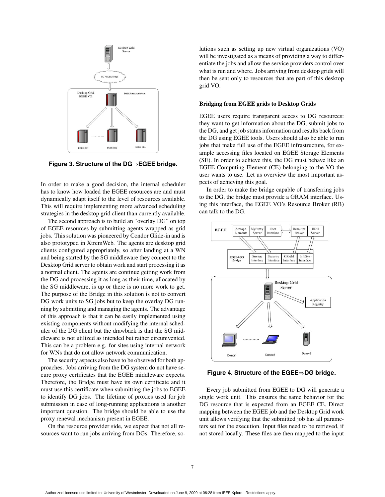

**Figure 3. Structure of the DG**⇒**EGEE bridge.**

In order to make a good decision, the internal scheduler has to know how loaded the EGEE resources are and must dynamically adapt itself to the level of resources available. This will require implementing more advanced scheduling strategies in the desktop grid client than currently available.

The second approach is to build an "overlay DG" on top of EGEE resources by submitting agents wrapped as grid jobs. This solution was pioneered by Condor Glide-in and is also prototyped in XtremWeb. The agents are desktop grid clients configured appropriately, so after landing at a WN and being started by the SG middleware they connect to the Desktop Grid server to obtain work and start processing it as a normal client. The agents are continue getting work from the DG and processing it as long as their time, allocated by the SG middleware, is up or there is no more work to get. The purpose of the Bridge in this solution is not to convert DG work units to SG jobs but to keep the overlay DG running by submitting and managing the agents. The advantage of this approach is that it can be easily implemented using existing components without modifying the internal scheduler of the DG client but the drawback is that the SG middleware is not utilized as intended but rather circumvented. This can be a problem e.g. for sites using internal network for WNs that do not allow network communication.

The security aspects also have to be observed for both approaches. Jobs arriving from the DG system do not have secure proxy certificates that the EGEE middleware expects. Therefore, the Bridge must have its own certificate and it must use this certificate when submitting the jobs to EGEE to identify DG jobs. The lifetime of proxies used for job submission in case of long-running applications is another important question. The bridge should be able to use the proxy renewal mechanism present in EGEE.

On the resource provider side, we expect that not all resources want to run jobs arriving from DGs. Therefore, solutions such as setting up new virtual organizations (VO) will be investigated as a means of providing a way to differentiate the jobs and allow the service providers control over what is run and where. Jobs arriving from desktop grids will then be sent only to resources that are part of this desktop grid VO.

#### Bridging from EGEE grids to Desktop Grids

EGEE users require transparent access to DG resources: they want to get information about the DG, submit jobs to the DG, and get job status information and results back from the DG using EGEE tools. Users should also be able to run jobs that make full use of the EGEE infrastructure, for example accessing files located on EGEE Storage Elements (SE). In order to achieve this, the DG must behave like an EGEE Computing Element (CE) belonging to the VO the user wants to use. Let us overview the most important aspects of achieving this goal.

In order to make the bridge capable of transferring jobs to the DG, the bridge must provide a GRAM interface. Using this interface, the EGEE VO's Resource Broker (RB) can talk to the DG.



**Figure 4. Structure of the EGEE**⇒**DG bridge.**

Every job submitted from EGEE to DG will generate a single work unit. This ensures the same behavior for the DG resource that is expected from an EGEE CE. Direct mapping between the EGEE job and the Desktop Grid work unit allows verifying that the submitted job has all parameters set for the execution. Input files need to be retrieved, if not stored locally. These files are then mapped to the input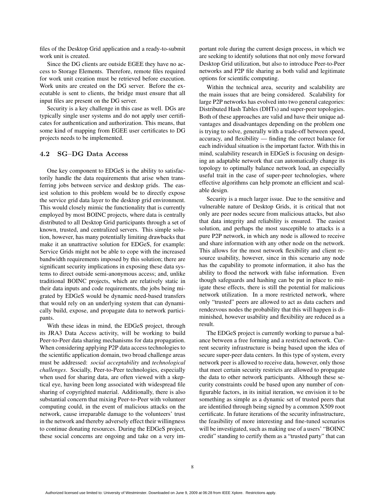files of the Desktop Grid application and a ready-to-submit work unit is created.

Since the DG clients are outside EGEE they have no access to Storage Elements. Therefore, remote files required for work unit creation must be retrieved before execution. Work units are created on the DG server. Before the executable is sent to clients, the bridge must ensure that all input files are present on the DG server.

Security is a key challenge in this case as well. DGs are typically single user systems and do not apply user certificates for authentication and authorization. This means, that some kind of mapping from EGEE user certificates to DG projects needs to be implemented.

#### 4.2 SG–DG Data Access

One key component to EDGeS is the ability to satisfactorily handle the data requirements that arise when transferring jobs between service and desktop grids. The easiest solution to this problem would be to directly expose the service grid data layer to the desktop grid environment. This would closely mimic the functionality that is currently employed by most BOINC projects, where data is centrally distributed to all Desktop Grid participants through a set of known, trusted, and centralized servers. This simple solution, however, has many potentially limiting drawbacks that make it an unattractive solution for EDGeS, for example: Service Grids might not be able to cope with the increased bandwidth requirements imposed by this solution; there are significant security implications in exposing these data systems to direct outside semi-anonymous access; and, unlike traditional BOINC projects, which are relatively static in their data inputs and code requirements, the jobs being migrated by EDGeS would be dynamic need-based transfers that would rely on an underlying system that can dynamically build, expose, and propagate data to network participants.

With these ideas in mind, the EDGeS project, through its JRA3 Data Access activity, will be working to build Peer-to-Peer data sharing mechanisms for data propagation. When considering applying P2P data access technologies to the scientific application domain, two broad challenge areas must be addressed: *social acceptability* and *technological challenges*. Socially, Peer-to-Peer technologies, especially when used for sharing data, are often viewed with a skeptical eye, having been long associated with widespread file sharing of copyrighted material. Additionally, there is also substantial concern that mixing Peer-to-Peer with volunteer computing could, in the event of malicious attacks on the network, cause irreparable damage to the volunteers' trust in the network and thereby adversely effect their willingness to continue donating resources. During the EDGeS project, these social concerns are ongoing and take on a very important role during the current design process, in which we are seeking to identify solutions that not only move forward Desktop Grid utilization, but also to introduce Peer-to-Peer networks and P2P file sharing as both valid and legitimate options for scientific computing.

Within the technical area, security and scalability are the main issues that are being considered. Scalability for large P2P networks has evolved into two general categories: Distributed Hash Tables (DHTs) and super-peer topologies. Both of these approaches are valid and have their unique advantages and disadvantages depending on the problem one is trying to solve, generally with a trade-off between speed, accuracy, and flexibility — finding the correct balance for each individual situation is the important factor. With this in mind, scalability research in EDGeS is focusing on designing an adaptable network that can automatically change its topology to optimally balance network load, an especially useful trait in the case of super-peer technologies, where effective algorithms can help promote an efficient and scalable design.

Security is a much larger issue. Due to the sensitive and vulnerable nature of Desktop Grids, it is critical that not only are peer nodes secure from malicious attacks, but also that data integrity and reliability is ensured. The easiest solution, and perhaps the most susceptible to attacks is a pure P2P network, in which any node is allowed to receive and share information with any other node on the network. This allows for the most network flexibility and client resource usability, however, since in this scenario any node has the capability to promote information, it also has the ability to flood the network with false information. Even though safeguards and hashing can be put in place to mitigate these effects, there is still the potential for malicious network utilization. In a more restricted network, where only "trusted" peers are allowed to act as data cachers and rendezvous nodes the probability that this will happen is diminished, however usability and flexibility are reduced as a result.

The EDGeS project is currently working to pursue a balance between a free forming and a restricted network. Current security infrastructure is being based upon the idea of secure super-peer data centers. In this type of system, every network peer is allowed to receive data, however, only those that meet certain security restricts are allowed to propagate the data to other network participants. Although these security constraints could be based upon any number of configurable factors, in its initial iteration, we envision it to be something as simple as a dynamic set of trusted peers that are identified through being signed by a common X509 root certificate. In future iterations of the security infrastructure, the feasibility of more interesting and fine-tuned scenarios will be investigated, such as making use of a users' "BOINC credit" standing to certify them as a "trusted party" that can